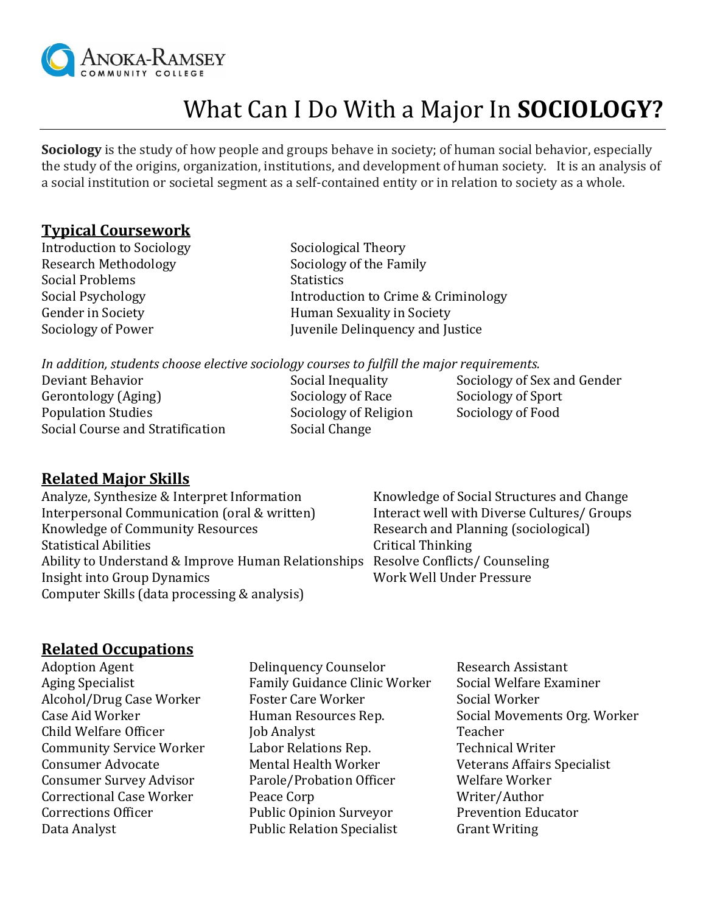

# What Can I Do With a Major In **SOCIOLOGY?**

**Sociology** is the study of how people and groups behave in society; of human social behavior, especially the study of the origins, organization, institutions, and development of human society. It is an analysis of a social institution or societal segment as a self-contained entity or in relation to society as a whole.

## **Typical Coursework**

Introduction to Sociology Sociological Theory Research Methodology Sociology of the Family Social Problems Statistics

Social Psychology **Introduction to Crime & Criminology** Gender in Society **Figure 1.5 Figure 1.5 Figure 1.5 Figure 1.5 Figure 1.5 Figure 1.5 Figure 1.5 Figure 1.5 Figure 1.5 Figure 1.5 Figure 1.5 Figure 1.5 Figure 1.5 Figure 1.5 Figure 1.5 Figure 1.5 Figure 1.5 Figure 1.5 Figur** Sociology of Power Juvenile Delinquency and Justice

*In addition, students choose elective sociology courses to fulfill the major requirements.* 

Deviant Behavior Social Inequality Sociology of Sex and Gender Gerontology (Aging) Sociology of Race Sociology of Sport Population Studies Sociology of Religion Sociology of Food Social Course and Stratification Social Change

## **Related Major Skills**

Analyze, Synthesize & Interpret Information Knowledge of Social Structures and Change Interpersonal Communication (oral & written) literact well with Diverse Cultures/ Groups Knowledge of Community Resources Research and Planning (sociological) Statistical Abilities **Statistical Thinking** Ability to Understand & Improve Human Relationships Resolve Conflicts/ Counseling Insight into Group Dynamics Work Well Under Pressure Computer Skills (data processing & analysis)

## **Related Occupations**

- 
- Adoption Agent **Delinquency Counselor** Research Assistant Aging Specialist Family Guidance Clinic Worker Social Welfare Examiner Alcohol/Drug Case Worker Foster Care Worker Social Worker Case Aid Worker **Human Resources Rep.** Social Movements Org. Worker Child Welfare Officer **Iob Analyst** Job Analyst Community Service Worker Labor Relations Rep. Technical Writer Consumer Advocate Mental Health Worker Veterans Affairs Specialist Consumer Survey Advisor Parole/Probation Officer Welfare Worker Correctional Case Worker Peace Corp Writer/Author Corrections Officer Public Opinion Surveyor Prevention Educator Data Analyst **Public Relation Specialist** Grant Writing
	-